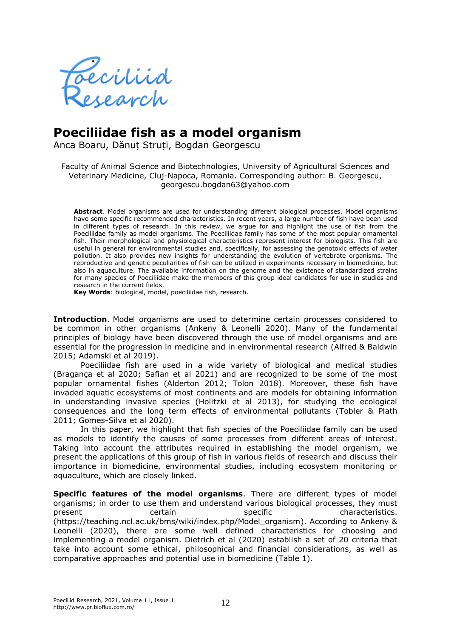

## **Poeciliidae fish as a model organism**

Anca Boaru, Dănuț Struți, Bogdan Georgescu

Faculty of Animal Science and Biotechnologies, University of Agricultural Sciences and Veterinary Medicine, Cluj-Napoca, Romania. Corresponding author: B. Georgescu, georgescu.bogdan63@yahoo.com

**Abstract**. Model organisms are used for understanding different biological processes. Model organisms have some specific recommended characteristics. In recent years, a large number of fish have been used in different types of research. In this review, we argue for and highlight the use of fish from the Poeciliidae family as model organisms. The Poeciliidae family has some of the most popular ornamental fish. Their morphological and physiological characteristics represent interest for biologists. This fish are useful in general for environmental studies and, specifically, for assessing the genotoxic effects of water pollution. It also provides new insights for understanding the evolution of vertebrate organisms. The reproductive and genetic peculiarities of fish can be utilized in experiments necessary in biomedicine, but also in aquaculture. The available information on the genome and the existence of standardized strains for many species of Poeciliidae make the members of this group ideal candidates for use in studies and research in the current fields.

**Key Words**: biological, model, poeciliidae fish, research.

**Introduction**. Model organisms are used to determine certain processes considered to be common in other organisms (Ankeny & Leonelli 2020). Many of the fundamental principles of biology have been discovered through the use of model organisms and are essential for the progression in medicine and in environmental research (Alfred & Baldwin 2015; Adamski et al 2019).

Poeciliidae fish are used in a wide variety of biological and medical studies (Bragança et al 2020; Safian et al 2021) and are recognized to be some of the most popular ornamental fishes (Alderton 2012; Tolon 2018). Moreover, these fish have invaded aquatic ecosystems of most continents and are models for obtaining information in understanding invasive species (Holitzki et al 2013), for studying the ecological consequences and the long term effects of environmental pollutants (Tobler & Plath 2011; Gomes-Silva et al 2020).

In this paper, we highlight that fish species of the Poeciliidae family can be used as models to identify the causes of some processes from different areas of interest. Taking into account the attributes required in establishing the model organism, we present the applications of this group of fish in various fields of research and discuss their importance in biomedicine, environmental studies, including ecosystem monitoring or aquaculture, which are closely linked.

**Specific features of the model organisms**. There are different types of model organisms; in order to use them and understand various biological processes, they must present certain certain specific characteristics. (https://teaching.ncl.ac.uk/bms/wiki/index.php/Model\_organism). According to Ankeny & Leonelli (2020), there are some well defined characteristics for choosing and implementing a model organism. Dietrich et al (2020) establish a set of 20 criteria that take into account some ethical, philosophical and financial considerations, as well as comparative approaches and potential use in biomedicine (Table 1).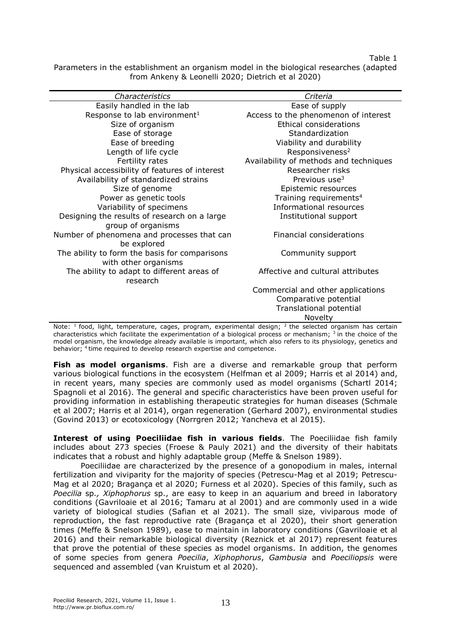Table 1

Parameters in the establishment an organism model in the biological researches (adapted from Ankeny & Leonelli 2020; Dietrich et al 2020)

| Characteristics                                | Criteria                               |
|------------------------------------------------|----------------------------------------|
| Easily handled in the lab                      | Ease of supply                         |
| Response to lab environment <sup>1</sup>       | Access to the phenomenon of interest   |
| Size of organism                               | Ethical considerations                 |
| Ease of storage                                | Standardization                        |
| Ease of breeding                               | Viability and durability               |
| Length of life cycle                           | Responsiveness <sup>2</sup>            |
| Fertility rates                                | Availability of methods and techniques |
| Physical accessibility of features of interest | Researcher risks                       |
| Availability of standardized strains           | Previous use <sup>3</sup>              |
| Size of genome                                 | Epistemic resources                    |
| Power as genetic tools                         | Training requirements <sup>4</sup>     |
| Variability of specimens                       | Informational resources                |
| Designing the results of research on a large   | Institutional support                  |
| group of organisms                             |                                        |
| Number of phenomena and processes that can     | Financial considerations               |
| be explored                                    |                                        |
| The ability to form the basis for comparisons  | Community support                      |
| with other organisms                           |                                        |
| The ability to adapt to different areas of     | Affective and cultural attributes      |
| research                                       |                                        |
|                                                | Commercial and other applications      |
|                                                | Comparative potential                  |
|                                                | Translational potential                |
|                                                | Novelty                                |

Note: <sup>1</sup> food, light, temperature, cages, program, experimental design; <sup>2</sup> the selected organism has certain characteristics which facilitate the experimentation of a biological process or mechanism;  $3$  in the choice of the model organism, the knowledge already available is important, which also refers to its physiology, genetics and behavior; <sup>4</sup> time required to develop research expertise and competence.

**Fish as model organisms**. Fish are a diverse and remarkable group that perform various biological functions in the ecosystem (Helfman et al 2009; Harris et al 2014) and, in recent years, many species are commonly used as model organisms (Schartl 2014; Spagnoli et al 2016). The general and specific characteristics have been proven useful for providing information in establishing therapeutic strategies for human diseases (Schmale et al 2007; Harris et al 2014), organ regeneration (Gerhard 2007), environmental studies (Govind 2013) or ecotoxicology (Norrgren 2012; Yancheva et al 2015).

**Interest of using Poeciliidae fish in various fields**. The Poeciliidae fish family includes about 273 species (Froese & Pauly 2021) and the diversity of their habitats indicates that a robust and highly adaptable group (Meffe & Snelson 1989).

Poeciliidae are characterized by the presence of a gonopodium in males, internal fertilization and viviparity for the majority of species (Petrescu-Mag et al 2019; Petrescu-Mag et al 2020; Bragança et al 2020; Furness et al 2020). Species of this family, such as *Poecilia* sp*., Xiphophorus* sp., are easy to keep in an aquarium and breed in laboratory conditions (Gavriloaie et al 2016; Tamaru at al 2001) and are commonly used in a wide variety of biological studies (Safian et al 2021). The small size, viviparous mode of reproduction, the fast reproductive rate (Bragança et al 2020), their short generation times (Meffe & Snelson 1989), ease to maintain in laboratory conditions (Gavriloaie et al 2016) and their remarkable biological diversity (Reznick et al 2017) represent features that prove the potential of these species as model organisms. In addition, the genomes of some species from genera *Poecilia*, *Xiphophorus*, *Gambusia* and *Poeciliopsis* were sequenced and assembled (van Kruistum et al 2020).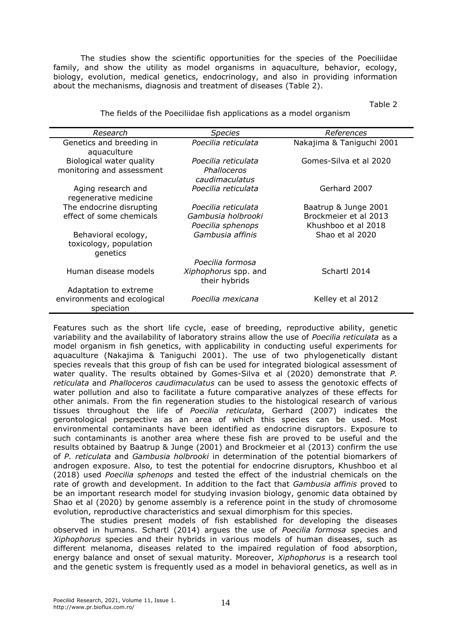The studies show the scientific opportunities for the species of the Poeciliidae family, and show the utility as model organisms in aquaculture, behavior, ecology, biology, evolution, medical genetics, endocrinology, and also in providing information about the mechanisms, diagnosis and treatment of diseases (Table 2).

Table 2

| The fields of the Poeciliidae fish applications as a model organism |  |
|---------------------------------------------------------------------|--|

| Research                                                  | <i>Species</i>                                       | References                                   |
|-----------------------------------------------------------|------------------------------------------------------|----------------------------------------------|
| Genetics and breeding in<br>aquaculture                   | Poecilia reticulata                                  | Nakajima & Taniguchi 2001                    |
| Biological water quality<br>monitoring and assessment     | Poecilia reticulata<br>Phalloceros<br>caudimaculatus | Gomes-Silva et al 2020                       |
| Aging research and<br>regenerative medicine               | Poecilia reticulata                                  | Gerhard 2007                                 |
| The endocrine disrupting                                  | Poecilia reticulata                                  | Baatrup & Junge 2001                         |
| effect of some chemicals                                  | Gambusia holbrooki<br>Poecilia sphenops              | Brockmeier et al 2013<br>Khushboo et al 2018 |
| Behavioral ecology,<br>toxicology, population<br>genetics | Gambusia affinis                                     | Shao et al 2020                              |
|                                                           | Poecilia formosa                                     |                                              |
| Human disease models                                      | Xiphophorus spp. and<br>their hybrids                | Schartl 2014                                 |
| Adaptation to extreme                                     |                                                      |                                              |
| environments and ecological<br>speciation                 | Poecilia mexicana                                    | Kelley et al 2012                            |

Features such as the short life cycle, ease of breeding, reproductive ability, genetic variability and the availability of laboratory strains allow the use of *Poecilia reticulata* as a model organism in fish genetics, with applicability in conducting useful experiments for aquaculture (Nakajima & Taniguchi 2001). The use of two phylogenetically distant species reveals that this group of fish can be used for integrated biological assessment of water quality. The results obtained by Gomes-Silva et al (2020) demonstrate that *P. reticulata* and *Phalloceros caudimaculatus* can be used to assess the genotoxic effects of water pollution and also to facilitate a future comparative analyzes of these effects for other animals. From the fin regeneration studies to the histological research of various tissues throughout the life of *Poecilia reticulata*, Gerhard (2007) indicates the gerontological perspective as an area of which this species can be used. Most environmental contaminants have been identified as endocrine disruptors. Exposure to such contaminants is another area where these fish are proved to be useful and the results obtained by Baatrup & Junge (2001) and Brockmeier et al (2013) confirm the use of *P. reticulata* and *Gambusia holbrooki* in determination of the potential biomarkers of androgen exposure. Also, to test the potential for endocrine disruptors, Khushboo et al (2018) used *Poecilia sphenops* and tested the effect of the industrial chemicals on the rate of growth and development. In addition to the fact that *Gambusia affinis* proved to be an important research model for studying invasion biology, genomic data obtained by Shao et al (2020) by genome assembly is a reference point in the study of chromosome evolution, reproductive characteristics and sexual dimorphism for this species.

The studies present models of fish established for developing the diseases observed in humans. Schartl (2014) argues the use of *Poecilia formosa* species and *Xiphophorus* species and their hybrids in various models of human diseases, such as different melanoma, diseases related to the impaired regulation of food absorption, energy balance and onset of sexual maturity. Moreover, *Xiphophorus* is a research tool and the genetic system is frequently used as a model in behavioral genetics, as well as in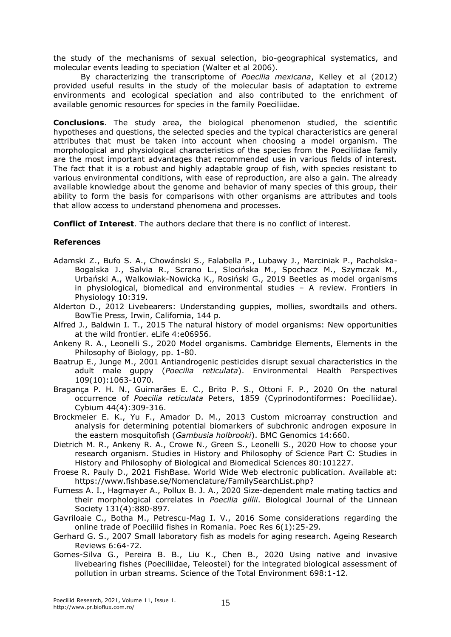the study of the mechanisms of sexual selection, bio-geographical systematics, and molecular events leading to speciation (Walter et al 2006).

By characterizing the transcriptome of *Poecilia mexicana*, Kelley et al (2012) provided useful results in the study of the molecular basis of adaptation to extreme environments and ecological speciation and also contributed to the enrichment of available genomic resources for species in the family Poeciliidae.

**Conclusions**. The study area, the biological phenomenon studied, the scientific hypotheses and questions, the selected species and the typical characteristics are general attributes that must be taken into account when choosing a model organism. The morphological and physiological characteristics of the species from the Poeciliidae family are the most important advantages that recommended use in various fields of interest. The fact that it is a robust and highly adaptable group of fish, with species resistant to various environmental conditions, with ease of reproduction, are also a gain. The already available knowledge about the genome and behavior of many species of this group, their ability to form the basis for comparisons with other organisms are attributes and tools that allow access to understand phenomena and processes.

**Conflict of Interest**. The authors declare that there is no conflict of interest.

## **References**

- Adamski Z., Bufo S. A., Chowánski S., Falabella P., Lubawy J., Marciniak P., Pacholska-Bogalska J., Salvia R., Scrano L., Slocińska M., Spochacz M., Szymczak M., Urbański A., Walkowiak-Nowicka K., Rosiński G., 2019 Beetles as model organisms in physiological, biomedical and environmental studies – A review. Frontiers in Physiology 10:319.
- Alderton D., 2012 Livebearers: Understanding guppies, mollies, swordtails and others. BowTie Press, Irwin, California, 144 p.
- Alfred J., Baldwin I. T., 2015 The natural history of model organisms: New opportunities at the wild frontier. eLife 4:e06956.
- Ankeny R. A., Leonelli S., 2020 Model organisms. Cambridge Elements, Elements in the Philosophy of Biology, pp. 1-80.
- Baatrup E., Junge M., 2001 Antiandrogenic pesticides disrupt sexual characteristics in the adult male guppy (*Poecilia reticulata*). Environmental Health Perspectives 109(10):1063-1070.
- Bragança P. H. N., Guimarães E. C., Brito P. S., Ottoni F. P., 2020 On the natural occurrence of *Poecilia reticulata* Peters, 1859 (Cyprinodontiformes: Poeciliidae). Cybium 44(4):309-316.
- Brockmeier E. K., Yu F., Amador D. M., 2013 Custom microarray construction and analysis for determining potential biomarkers of subchronic androgen exposure in the eastern mosquitofish (*Gambusia holbrooki*). BMC Genomics 14:660.
- Dietrich M. R., Ankeny R. A., Crowe N., Green S., Leonelli S., 2020 How to choose your research organism. Studies in History and Philosophy of Science Part C: Studies in History and Philosophy of Biological and Biomedical Sciences 80:101227.
- Froese R. Pauly D., 2021 FishBase. World Wide Web electronic publication. Available at: [https://www.fishbase.se/Nomenclature/FamilySearchList.php?](https://www.fishbase.se/Nomenclature/FamilySearchList.php)
- Furness A. I., Hagmayer A., Pollux B. J. A., 2020 Size-dependent male mating tactics and their morphological correlates in *Poecilia gillii*. Biological Journal of the Linnean Society 131(4):880-897.
- Gavriloaie C., Botha M., Petrescu-Mag I. V., 2016 Some considerations regarding the online trade of Poeciliid fishes in Romania. Poec Res 6(1):25-29.
- Gerhard G. S., 2007 Small laboratory fish as models for aging research. Ageing Research Reviews 6:64-72.
- Gomes-Silva G., Pereira B. B., Liu K., Chen B., 2020 Using native and invasive livebearing fishes (Poeciliidae, Teleostei) for the integrated biological assessment of pollution in urban streams. Science of the Total Environment 698:1-12.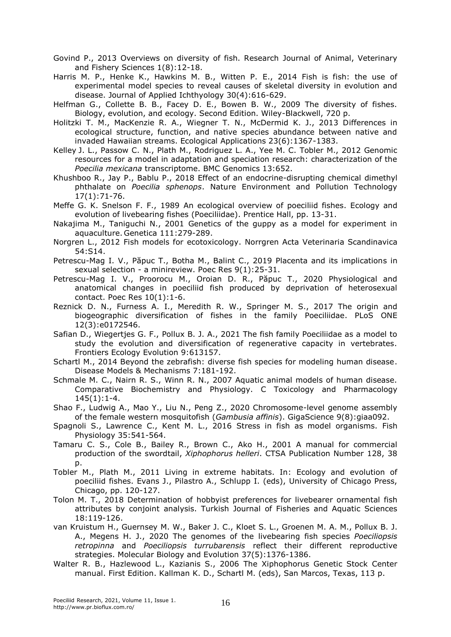Govind P., 2013 Overviews on diversity of fish. Research Journal of Animal, Veterinary and Fishery Sciences 1(8):12-18.

Harris M. P., Henke K., Hawkins M. B., Witten P. E., 2014 Fish is fish: the use of experimental model species to reveal causes of skeletal diversity in evolution and disease. Journal of Applied Ichthyology 30(4):616-629.

Helfman G., Collette B. B., Facey D. E., Bowen B. W., 2009 The diversity of fishes. Biology, evolution, and ecology. Second Edition. Wiley-Blackwell, 720 p.

Holitzki T. M., MacKenzie R. A., Wiegner T. N., McDermid K. J., 2013 Differences in ecological structure, function, and native species abundance between native and invaded Hawaiian streams. Ecological Applications 23(6):1367-1383.

Kelley J. L., Passow C. N., Plath M., Rodriguez L. A., Yee M. C. Tobler M., 2012 Genomic resources for a model in adaptation and speciation research: characterization of the *Poecilia mexicana* transcriptome. BMC Genomics 13:652.

Khushboo R., Jay P., Bablu P., 2018 Effect of an endocrine-disrupting chemical dimethyl phthalate on *Poecilia sphenops*. Nature Environment and Pollution Technology 17(1):71-76.

Meffe G. K. Snelson F. F., 1989 An ecological overview of poeciliid fishes. Ecology and evolution of livebearing fishes (Poeciliidae). Prentice Hall, pp. 13-31.

Nakajima M., Taniguchi N., 2001 Genetics of the guppy as a model for experiment in aquaculture. Genetica 111:279-289.

Norgren L., 2012 Fish models for ecotoxicology. Norrgren Acta Veterinaria Scandinavica 54:S14.

Petrescu-Mag I. V., Păpuc T., Botha M., Balint C., 2019 Placenta and its implications in sexual selection - a minireview. Poec Res 9(1):25-31.

Petrescu-Mag I. V., Proorocu M., Oroian D. R., Păpuc T., 2020 Physiological and anatomical changes in poeciliid fish produced by deprivation of heterosexual contact. Poec Res 10(1):1-6.

Reznick D. N., Furness A. I., Meredith R. W., Springer M. S., 2017 The origin and biogeographic diversification of fishes in the family Poeciliidae. PLoS ONE 12(3):e0172546.

Safian D., Wiegertjes G. F., Pollux B. J. A., 2021 The fish family Poeciliidae as a model to study the evolution and diversification of regenerative capacity in vertebrates. Frontiers Ecology Evolution 9:613157.

Schartl M., 2014 Beyond the zebrafish: diverse fish species for modeling human disease. Disease Models & Mechanisms 7:181-192.

Schmale M. C., Nairn R. S., Winn R. N., 2007 Aquatic animal models of human disease. Comparative Biochemistry and Physiology. C Toxicology and Pharmacology 145(1):1-4.

Shao F., Ludwig A., Mao Y., Liu N., Peng Z., 2020 Chromosome-level genome assembly of the female western mosquitofish (*Gambusia affinis*). GigaScience 9(8):giaa092.

[Spagnoli](https://www.sciencedirect.com/science/article/pii/B9780128027288000138?via%3Dihub#!) S., [Lawrence](https://www.sciencedirect.com/science/article/pii/B9780128027288000138?via%3Dihub#!) C., [Kent](https://www.sciencedirect.com/science/article/pii/B9780128027288000138?via%3Dihub#!) M. L., 2016 Stress in fish as model organisms. [Fish](https://www.sciencedirect.com/science/journal/15465098)  [Physiology](https://www.sciencedirect.com/science/journal/15465098) [35:](https://www.sciencedirect.com/science/journal/15465098/35/supp/C)541-564.

Tamaru C. S., Cole B., Bailey R., Brown C., Ako H., 2001 A manual for commercial production of the swordtail, *Xiphophorus helleri*. CTSA Publication Number 128, 38 p.

Tobler M., Plath M., 2011 Living in extreme habitats. In: Ecology and evolution of poeciliid fishes. Evans J., Pilastro A., Schlupp I. (eds), University of Chicago Press, Chicago, pp. 120-127.

Tolon M. T., 2018 Determination of hobbyist preferences for livebearer ornamental fish attributes by conjoint analysis. Turkish Journal of Fisheries and Aquatic Sciences 18:119-126.

van Kruistum H., Guernsey M. W., Baker J. C., Kloet S. L., Groenen M. A. M., Pollux B. J. A., Megens H. J., 2020 The genomes of the livebearing fish species *Poeciliopsis retropinna* and *Poeciliopsis turrubarensis* reflect their different reproductive strategies. Molecular Biology and Evolution 37(5):1376-1386.

Walter R. B., Hazlewood L., Kazianis S., 2006 The Xiphophorus Genetic Stock Center manual. First Edition. Kallman K. D., Schartl M. (eds), San Marcos, Texas, 113 p.